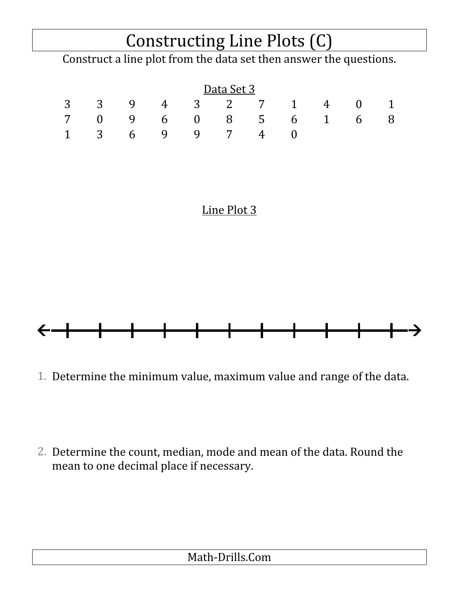## Constructing Line Plots (C)

Construct a line plot from the data set then answer the questions.

|  |  | Data Set 3 |                       |  |  |
|--|--|------------|-----------------------|--|--|
|  |  |            | 3 3 9 4 3 2 7 1 4 0 1 |  |  |
|  |  |            | 7 0 9 6 0 8 5 6 1 6 8 |  |  |
|  |  |            | 1 3 6 9 9 7 4 0       |  |  |

## Line Plot 3



1. Determine the minimum value, maximum value and range of the data.

2. Determine the count, median, mode and mean of the data. Round the mean to one decimal place if necessary.